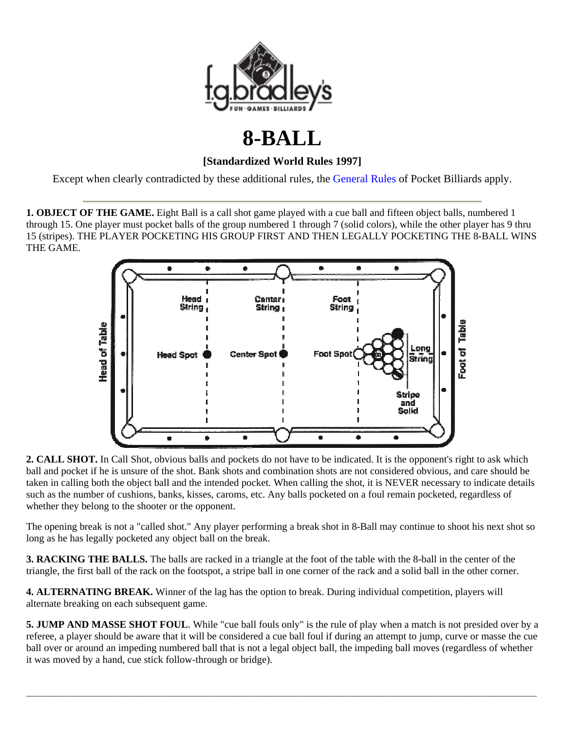

## **8-BALL**

## **[Standardized World Rules 1997]**

Except when clearly contradicted by these additional rules, the General Rules of Pocket Billiards apply.

**1. OBJECT OF THE GAME.** Eight Ball is a call shot game played with a cue ball and fifteen object balls, numbered 1 through 15. One player must pocket balls of the group numbered 1 through 7 (solid colors), while the other player has 9 thru 15 (stripes). THE PLAYER POCKETING HIS GROUP FIRST AND THEN LEGALLY POCKETING THE 8-BALL WINS THE GAME.



**2. CALL SHOT.** In Call Shot, obvious balls and pockets do not have to be indicated. It is the opponent's right to ask which ball and pocket if he is unsure of the shot. Bank shots and combination shots are not considered obvious, and care should be taken in calling both the object ball and the intended pocket. When calling the shot, it is NEVER necessary to indicate details such as the number of cushions, banks, kisses, caroms, etc. Any balls pocketed on a foul remain pocketed, regardless of whether they belong to the shooter or the opponent.

The opening break is not a "called shot." Any player performing a break shot in 8-Ball may continue to shoot his next shot so long as he has legally pocketed any object ball on the break.

**3. RACKING THE BALLS.** The balls are racked in a triangle at the foot of the table with the 8-ball in the center of the triangle, the first ball of the rack on the footspot, a stripe ball in one corner of the rack and a solid ball in the other corner.

**4. ALTERNATING BREAK.** Winner of the lag has the option to break. During individual competition, players will alternate breaking on each subsequent game.

**5. JUMP AND MASSE SHOT FOUL**. While "cue ball fouls only" is the rule of play when a match is not presided over by a referee, a player should be aware that it will be considered a cue ball foul if during an attempt to jump, curve or masse the cue ball over or around an impeding numbered ball that is not a legal object ball, the impeding ball moves (regardless of whether it was moved by a hand, cue stick follow-through or bridge).

 $\bot$  , and the set of the set of the set of the set of the set of the set of the set of the set of the set of the set of the set of the set of the set of the set of the set of the set of the set of the set of the set of t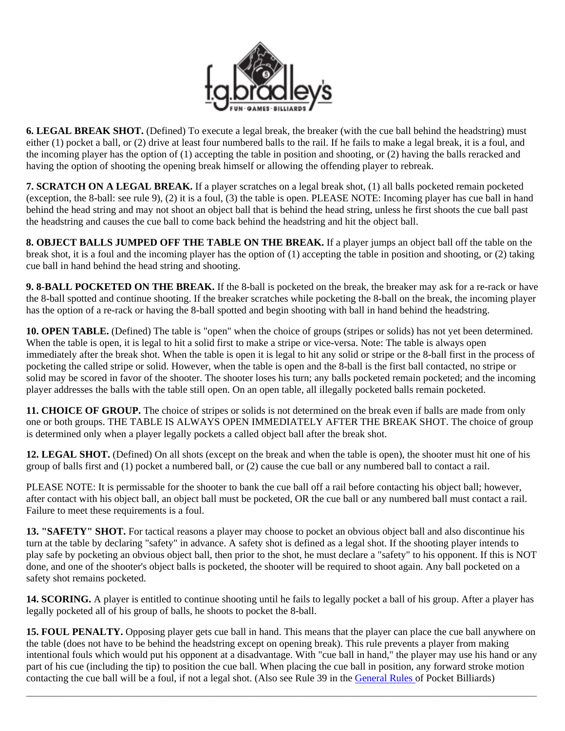

**6. LEGAL BREAK SHOT.** (Defined) To execute a legal break, the breaker (with the cue ball behind the headstring) must either (1) pocket a ball, or (2) drive at least four numbered balls to the rail. If he fails to make a legal break, it is a foul, and the incoming player has the option of (1) accepting the table in position and shooting, or (2) having the balls reracked and having the option of shooting the opening break himself or allowing the offending player to rebreak.

**7. SCRATCH ON A LEGAL BREAK.** If a player scratches on a legal break shot, (1) all balls pocketed remain pocketed (exception, the 8-ball: see rule 9), (2) it is a foul, (3) the table is open. PLEASE NOTE: Incoming player has cue ball in hand behind the head string and may not shoot an object ball that is behind the head string, unless he first shoots the cue ball past the headstring and causes the cue ball to come back behind the headstring and hit the object ball.

**8. OBJECT BALLS JUMPED OFF THE TABLE ON THE BREAK.** If a player jumps an object ball off the table on the break shot, it is a foul and the incoming player has the option of (1) accepting the table in position and shooting, or (2) taking cue ball in hand behind the head string and shooting.

**9. 8-BALL POCKETED ON THE BREAK.** If the 8-ball is pocketed on the break, the breaker may ask for a re-rack or have the 8-ball spotted and continue shooting. If the breaker scratches while pocketing the 8-ball on the break, the incoming player has the option of a re-rack or having the 8-ball spotted and begin shooting with ball in hand behind the headstring.

**10. OPEN TABLE.** (Defined) The table is "open" when the choice of groups (stripes or solids) has not yet been determined. When the table is open, it is legal to hit a solid first to make a stripe or vice-versa. Note: The table is always open immediately after the break shot. When the table is open it is legal to hit any solid or stripe or the 8-ball first in the process of pocketing the called stripe or solid. However, when the table is open and the 8-ball is the first ball contacted, no stripe or solid may be scored in favor of the shooter. The shooter loses his turn; any balls pocketed remain pocketed; and the incoming player addresses the balls with the table still open. On an open table, all illegally pocketed balls remain pocketed.

**11. CHOICE OF GROUP.** The choice of stripes or solids is not determined on the break even if balls are made from only one or both groups. THE TABLE IS ALWAYS OPEN IMMEDIATELY AFTER THE BREAK SHOT. The choice of group is determined only when a player legally pockets a called object ball after the break shot.

**12. LEGAL SHOT.** (Defined) On all shots (except on the break and when the table is open), the shooter must hit one of his group of balls first and (1) pocket a numbered ball, or (2) cause the cue ball or any numbered ball to contact a rail.

PLEASE NOTE: It is permissable for the shooter to bank the cue ball off a rail before contacting his object ball; however, after contact with his object ball, an object ball must be pocketed, OR the cue ball or any numbered ball must contact a rail. Failure to meet these requirements is a foul.

**13. "SAFETY" SHOT.** For tactical reasons a player may choose to pocket an obvious object ball and also discontinue his turn at the table by declaring "safety" in advance. A safety shot is defined as a legal shot. If the shooting player intends to play safe by pocketing an obvious object ball, then prior to the shot, he must declare a "safety" to his opponent. If this is NOT done, and one of the shooter's object balls is pocketed, the shooter will be required to shoot again. Any ball pocketed on a safety shot remains pocketed.

**14. SCORING.** A player is entitled to continue shooting until he fails to legally pocket a ball of his group. After a player has legally pocketed all of his group of balls, he shoots to pocket the 8-ball.

**15. FOUL PENALTY.** Opposing player gets cue ball in hand. This means that the player can place the cue ball anywhere on the table (does not have to be behind the headstring except on opening break). This rule prevents a player from making intentional fouls which would put his opponent at a disadvantage. With "cue ball in hand," the player may use his hand or any part of his cue (including the tip) to position the cue ball. When placing the cue ball in position, any forward stroke motion contacting the cue ball will be a foul, if not a legal shot. (Also see Rule 39 in the [General Rules](http://www.fgbradleys.com/rules/General_Rules_Pocket_Billiards.pdf) of Pocket Billiards)

 $\bot$  , and the set of the set of the set of the set of the set of the set of the set of the set of the set of the set of the set of the set of the set of the set of the set of the set of the set of the set of the set of t